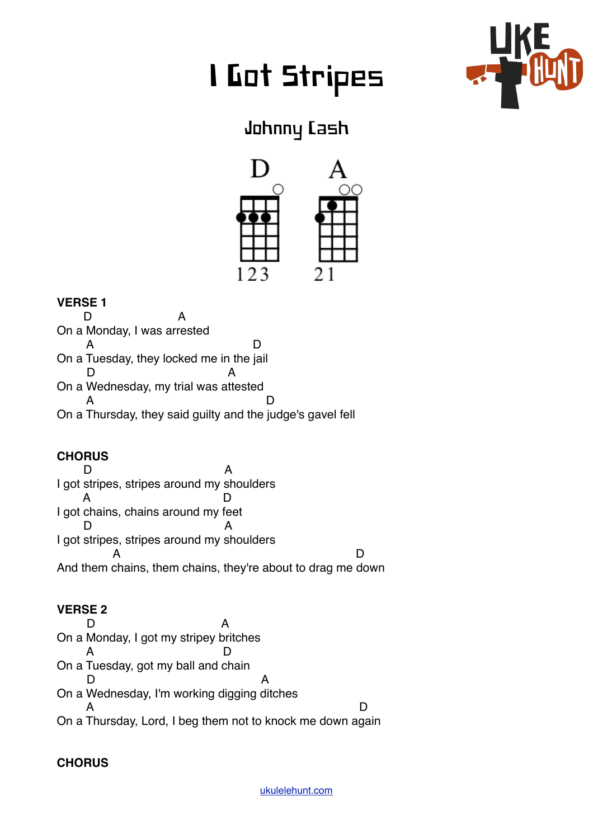# I Got Stripes



## Johnny Cash



#### **VERSE 1**

D A On a Monday, I was arrested A D On a Tuesday, they locked me in the jail D A On a Wednesday, my trial was attested A D On a Thursday, they said guilty and the judge's gavel fell

### **CHORUS**

D A I got stripes, stripes around my shoulders A D I got chains, chains around my feet D A I got stripes, stripes around my shoulders A D And them chains, them chains, they're about to drag me down

#### **VERSE 2**

D A On a Monday, I got my stripey britches A D On a Tuesday, got my ball and chain D A On a Wednesday, I'm working digging ditches A D On a Thursday, Lord, I beg them not to knock me down again

#### **CHORUS**